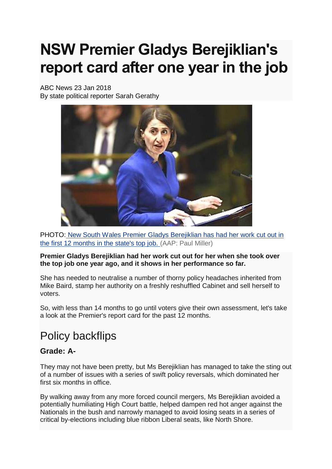# **NSW Premier Gladys Berejiklian's report card after one year in the job**

ABC News 23 Jan 2018 By state political reporter Sarah Gerathy



PHOTO: [New South Wales Premier Gladys Berejiklian has had her work cut out in](http://www.abc.net.au/news/2018-01-22/gladys-berejiklian/9350510)  [the first 12 months in the state's top job.](http://www.abc.net.au/news/2018-01-22/gladys-berejiklian/9350510) (AAP: Paul Miller)

**Premier Gladys Berejiklian had her work cut out for her when she took over the top job one year ago, and it shows in her performance so far.**

She has needed to neutralise a number of thorny policy headaches inherited from Mike Baird, stamp her authority on a freshly reshuffled Cabinet and sell herself to voters.

So, with less than 14 months to go until voters give their own assessment, let's take a look at the Premier's report card for the past 12 months.

# Policy backflips

#### **Grade: A-**

They may not have been pretty, but Ms Berejiklian has managed to take the sting out of a number of issues with a series of swift policy reversals, which dominated her first six months in office.

By walking away from any more forced council mergers, Ms Berejiklian avoided a potentially humiliating High Court battle, helped dampen red hot anger against the Nationals in the bush and narrowly managed to avoid losing seats in a series of critical by-elections including blue ribbon Liberal seats, like North Shore.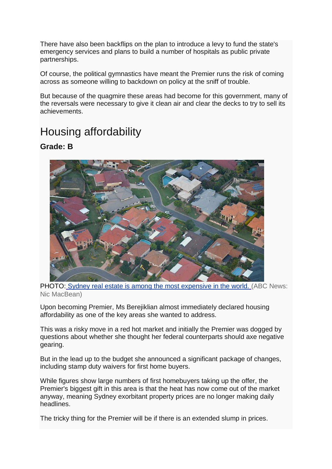There have also been backflips on the plan to introduce a levy to fund the state's emergency services and plans to build a number of hospitals as public private partnerships.

Of course, the political gymnastics have meant the Premier runs the risk of coming across as someone willing to backdown on policy at the sniff of trouble.

But because of the quagmire these areas had become for this government, many of the reversals were necessary to give it clean air and clear the decks to try to sell its achievements.

## Housing affordability

**Grade: B**



PHOTO: [Sydney real estate is among the most expensive in the world.](http://www.abc.net.au/news/2018-01-22/suburban-housing/9350498) (ABC News: [Nic MacBean\)](http://www.abc.net.au/news/2018-01-22/suburban-housing/9350498)

Upon becoming Premier, Ms Berejiklian almost immediately declared housing affordability as one of the key areas she wanted to address.

This was a risky move in a red hot market and initially the Premier was dogged by questions about whether she thought her federal counterparts should axe negative gearing.

But in the lead up to the budget she announced a significant package of changes, including stamp duty waivers for first home buyers.

While figures show large numbers of first homebuyers taking up the offer, the Premier's biggest gift in this area is that the heat has now come out of the market anyway, meaning Sydney exorbitant property prices are no longer making daily headlines.

The tricky thing for the Premier will be if there is an extended slump in prices.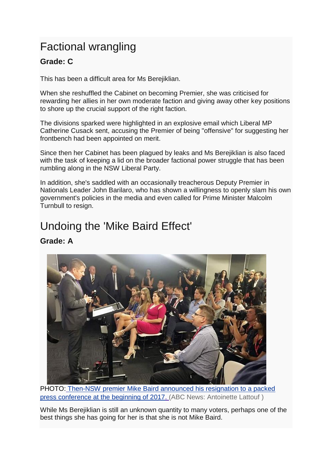# Factional wrangling

## **Grade: C**

This has been a difficult area for Ms Berejiklian.

When she reshuffled the Cabinet on becoming Premier, she was criticised for rewarding her allies in her own moderate faction and giving away other key positions to shore up the crucial support of the right faction.

The divisions sparked were highlighted in an explosive email which Liberal MP Catherine Cusack sent, accusing the Premier of being "offensive" for suggesting her frontbench had been appointed on merit.

Since then her Cabinet has been plagued by leaks and Ms Berejiklian is also faced with the task of keeping a lid on the broader factional power struggle that has been rumbling along in the NSW Liberal Party.

In addition, she's saddled with an occasionally treacherous Deputy Premier in Nationals Leader John Barilaro, who has shown a willingness to openly slam his own government's policies in the media and even called for Prime Minister Malcolm Turnbull to resign.

## Undoing the 'Mike Baird Effect'

### **Grade: A**



PHOTO: [Then-NSW premier Mike Baird announced his resignation to a packed](http://www.abc.net.au/news/2018-01-22/mike-baird-presser-pic/9350532)  [press conference at the beginning of 2017.](http://www.abc.net.au/news/2018-01-22/mike-baird-presser-pic/9350532) (ABC News: Antoinette Lattouf )

While Ms Berejiklian is still an unknown quantity to many voters, perhaps one of the best things she has going for her is that she is not Mike Baird.